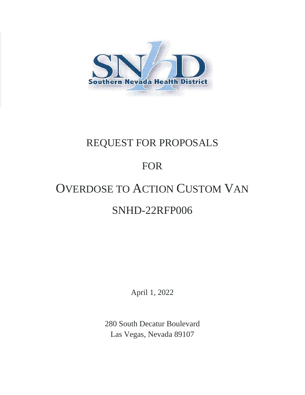

# REQUEST FOR PROPOSALS

## FOR

# OVERDOSE TO ACTION CUSTOM VAN SNHD-22RFP006

April 1, 2022

280 South Decatur Boulevard Las Vegas, Nevada 89107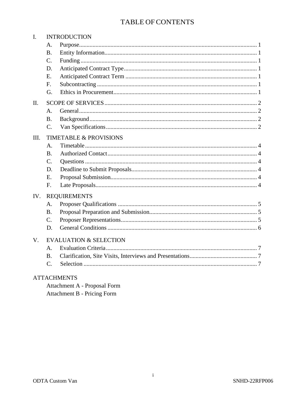## TABLE OF CONTENTS

| $\mathbf{I}$ . | <b>INTRODUCTION</b>               |                    |  |
|----------------|-----------------------------------|--------------------|--|
|                | A.                                |                    |  |
|                | <b>B.</b>                         |                    |  |
|                | $\mathcal{C}$ .                   |                    |  |
|                | D.                                |                    |  |
|                | E.                                |                    |  |
|                | F.                                |                    |  |
|                | G.                                |                    |  |
| II.            |                                   |                    |  |
|                | A <sub>1</sub>                    |                    |  |
|                | <b>B</b> .                        |                    |  |
|                | C.                                |                    |  |
| III.           | <b>TIMETABLE &amp; PROVISIONS</b> |                    |  |
|                | A.                                |                    |  |
|                | <b>B.</b>                         |                    |  |
|                | C.                                |                    |  |
|                | D.                                |                    |  |
|                | E.                                |                    |  |
|                | F <sub>1</sub>                    |                    |  |
| IV.            | <b>REQUIREMENTS</b>               |                    |  |
|                | A.                                |                    |  |
|                | <b>B.</b>                         |                    |  |
|                | $C_{\cdot}$                       |                    |  |
|                | D.                                |                    |  |
| $V_{\cdot}$    | <b>EVALUATION &amp; SELECTION</b> |                    |  |
|                | $A$ .                             |                    |  |
|                | <b>B.</b>                         |                    |  |
|                | $\mathcal{C}$ .                   |                    |  |
|                |                                   | <b>ATTACHMENTS</b> |  |

Attachment A - Proposal Form Attachment B - Pricing Form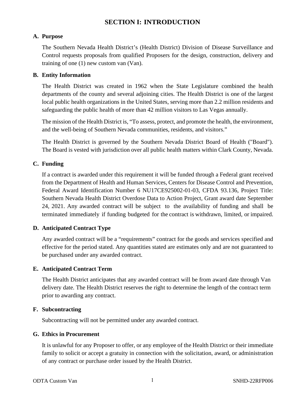## **SECTION I: INTRODUCTION**

## <span id="page-2-1"></span><span id="page-2-0"></span>**A. Purpose**

The Southern Nevada Health District's (Health District) Division of Disease Surveillance and Control requests proposals from qualified Proposers for the design, construction, delivery and training of one (1) new custom van (Van).

## <span id="page-2-2"></span>**B. Entity Information**

The Health District was created in 1962 when the State Legislature combined the health departments of the county and several adjoining cities. The Health District is one of the largest local public health organizations in the United States, serving more than 2.2 million residents and safeguarding the public health of more than 42 million visitors to Las Vegas annually.

The mission of the Health District is, "To assess, protect, and promote the health, the environment, and the well-being of Southern Nevada communities, residents, and visitors."

The Health District is governed by the Southern Nevada District Board of Health ("Board"). The Board is vested with jurisdiction over all public health matters within Clark County, Nevada.

## <span id="page-2-3"></span>**C. Funding**

If a contract is awarded under this requirement it will be funded through a Federal grant received from the Department of Health and Human Services, Centers for Disease Control and Prevention, Federal Award Identification Number 6 NU17CE925002-01-03, CFDA 93.136, Project Title: Southern Nevada Health District Overdose Data to Action Project, Grant award date September 24, 2021. Any awarded contract will be subject to the availability of funding and shall be terminated immediately if funding budgeted for the contract is withdrawn, limited, or impaired.

## <span id="page-2-4"></span>**D. Anticipated Contract Type**

Any awarded contract will be a "requirements" contract for the goods and services specified and effective for the period stated. Any quantities stated are estimates only and are not guaranteed to be purchased under any awarded contract.

## <span id="page-2-5"></span>**E. Anticipated Contract Term**

The Health District anticipates that any awarded contract will be from award date through Van delivery date. The Health District reserves the right to determine the length of the contract term prior to awarding any contract.

## <span id="page-2-6"></span>**F. Subcontracting**

Subcontracting will not be permitted under any awarded contract.

## <span id="page-2-7"></span>**G. Ethics in Procurement**

It is unlawful for any Proposer to offer, or any employee of the Health District or their immediate family to solicit or accept a gratuity in connection with the solicitation, award, or administration of any contract or purchase order issued by the Health District.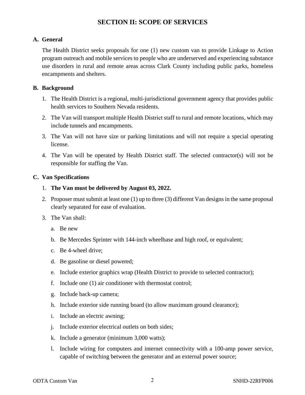## **SECTION II: SCOPE OF SERVICES**

## <span id="page-3-1"></span><span id="page-3-0"></span>**A. General**

The Health District seeks proposals for one (1) new custom van to provide Linkage to Action program outreach and mobile services to people who are underserved and experiencing substance use disorders in rural and remote areas across Clark County including public parks, homeless encampments and shelters.

## <span id="page-3-2"></span>**B. Background**

- 1. The Health District is a regional, multi-jurisdictional government agency that provides public health services to Southern Nevada residents.
- 2. The Van will transport multiple Health District staff to rural and remote locations, which may include tunnels and encampments.
- 3. The Van will not have size or parking limitations and will not require a special operating license.
- 4. The Van will be operated by Health District staff. The selected contractor(s) will not be responsible for staffing the Van.

## <span id="page-3-3"></span>**C. Van Specifications**

- 1. **The Van must be delivered by August 03, 2022.**
- 2. Proposer must submit at least one (1) up to three (3) different Van designsin the same proposal clearly separated for ease of evaluation.
- 3. The Van shall:
	- a. Be new
	- b. Be Mercedes Sprinter with 144-inch wheelbase and high roof, or equivalent;
	- c. Be 4-wheel drive;
	- d. Be gasoline or diesel powered;
	- e. Include exterior graphics wrap (Health District to provide to selected contractor);
	- f. Include one (1) air conditioner with thermostat control;
	- g. Include back-up camera;
	- h. Include exterior side running board (to allow maximum ground clearance);
	- i. Include an electric awning;
	- j. Include exterior electrical outlets on both sides;
	- k. Include a generator (minimum 3,000 watts);
	- l. Include wiring for computers and internet connectivity with a 100-amp power service, capable of switching between the generator and an external power source;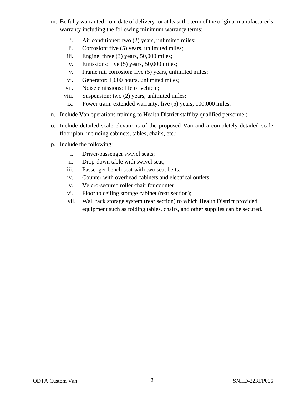- m. Be fully warranted from date of delivery for at least the term of the original manufacturer's warranty including the following minimum warranty terms:
	- i. Air conditioner: two (2) years, unlimited miles;
	- ii. Corrosion: five (5) years, unlimited miles;
	- iii. Engine: three (3) years, 50,000 miles;
	- iv. Emissions: five (5) years, 50,000 miles;
	- v. Frame rail corrosion: five (5) years, unlimited miles;
	- vi. Generator: 1,000 hours, unlimited miles;
	- vii. Noise emissions: life of vehicle;
	- viii. Suspension: two (2) years, unlimited miles;
	- ix. Power train: extended warranty, five (5) years, 100,000 miles.
- n. Include Van operations training to Health District staff by qualified personnel;
- o. Include detailed scale elevations of the proposed Van and a completely detailed scale floor plan, including cabinets, tables, chairs, etc.;
- p. Include the following:
	- i. Driver/passenger swivel seats;
	- ii. Drop-down table with swivel seat;
	- iii. Passenger bench seat with two seat belts;
	- iv. Counter with overhead cabinets and electrical outlets;
	- v. Velcro-secured roller chair for counter;
	- vi. Floor to ceiling storage cabinet (rear section);
	- vii. Wall rack storage system (rear section) to which Health District provided equipment such as folding tables, chairs, and other supplies can be secured.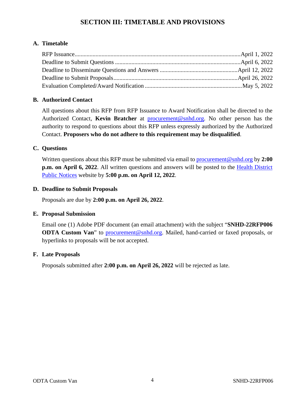## **SECTION III: TIMETABLE AND PROVISIONS**

## <span id="page-5-1"></span><span id="page-5-0"></span>**A. Timetable**

## <span id="page-5-2"></span>**B. Authorized Contact**

All questions about this RFP from RFP Issuance to Award Notification shall be directed to the Authorized Contact, **Kevin Bratcher** at [procurement@snhd.org.](mailto:procurement@snhd.org) No other person has the authority to respond to questions about this RFP unless expressly authorized by the Authorized Contact. **Proposers who do not adhere to this requirement may be disqualified**.

## <span id="page-5-3"></span>**C. Questions**

Written questions about this RFP must be submitted via email to [procurement@snhd.org](mailto:procurement@snhd.org) by **2:00 p.m. on April 6, 2022**. All written questions and answers will be posted to the [Health District](https://www.southernnevadahealthdistrict.org/news-info/public-notices/)  [Public Notices](https://www.southernnevadahealthdistrict.org/news-info/public-notices/) website by **5:00 p.m. on April 12, 2022**.

## <span id="page-5-4"></span>**D. Deadline to Submit Proposals**

Proposals are due by **2:00 p.m. on April 26, 2022**.

## <span id="page-5-5"></span>**E. Proposal Submission**

Email one (1) Adobe PDF document (an email attachment) with the subject "**SNHD-22RFP006 ODTA Custom Van**" to [procurement@snhd.org.](mailto:procurement@snhd.org) Mailed, hand-carried or faxed proposals, or hyperlinks to proposals will be not accepted.

## <span id="page-5-6"></span>**F. Late Proposals**

Proposals submitted after **2:00 p.m. on April 26, 2022** will be rejected as late.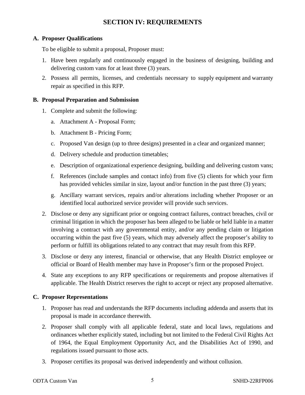## **SECTION IV: REQUIREMENTS**

## <span id="page-6-1"></span><span id="page-6-0"></span>**A. Proposer Qualifications**

To be eligible to submit a proposal, Proposer must:

- 1. Have been regularly and continuously engaged in the business of designing, building and delivering custom vans for at least three (3) years.
- 2. Possess all permits, licenses, and credentials necessary to supply equipment and warranty repair as specified in this RFP.

## <span id="page-6-2"></span>**B. Proposal Preparation and Submission**

- 1. Complete and submit the following:
	- a. Attachment A Proposal Form;
	- b. Attachment B Pricing Form;
	- c. Proposed Van design (up to three designs) presented in a clear and organized manner;
	- d. Delivery schedule and production timetables;
	- e. Description of organizational experience designing, building and delivering custom vans;
	- f. References (include samples and contact info) from five (5) clients for which your firm has provided vehicles similar in size, layout and/or function in the past three (3) years;
	- g. Ancillary warrant services, repairs and/or alterations including whether Proposer or an identified local authorized service provider will provide such services.
- 2. Disclose or deny any significant prior or ongoing contract failures, contract breaches, civil or criminal litigation in which the proposer has been alleged to be liable or held liable in a matter involving a contract with any governmental entity, and/or any pending claim or litigation occurring within the past five (5) years, which may adversely affect the proposer's ability to perform or fulfill its obligations related to any contract that may result from this RFP.
- 3. Disclose or deny any interest, financial or otherwise, that any Health District employee or official or Board of Health member may have in Proposer's firm or the proposed Project.
- 4. State any exceptions to any RFP specifications or requirements and propose alternatives if applicable. The Health District reserves the right to accept or reject any proposed alternative.

## <span id="page-6-3"></span>**C. Proposer Representations**

- 1. Proposer has read and understands the RFP documents including addenda and asserts that its proposal is made in accordance therewith.
- 2. Proposer shall comply with all applicable federal, state and local laws, regulations and ordinances whether explicitly stated, including but not limited to the Federal Civil Rights Act of 1964, the Equal Employment Opportunity Act, and the Disabilities Act of 1990, and regulations issued pursuant to those acts.
- 3. Proposer certifies its proposal was derived independently and without collusion.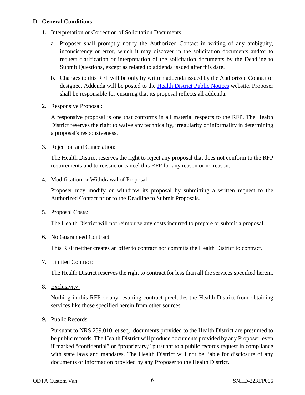## <span id="page-7-0"></span>**D. General Conditions**

## 1. Interpretation or Correction of Solicitation Documents:

- a. Proposer shall promptly notify the Authorized Contact in writing of any ambiguity, inconsistency or error, which it may discover in the solicitation documents and/or to request clarification or interpretation of the solicitation documents by the Deadline to Submit Questions, except as related to addenda issued after this date.
- b. Changes to this RFP will be only by written addenda issued by the Authorized Contact or designee. Addenda will be posted to the [Health District Public Notices](https://www.southernnevadahealthdistrict.org/news-info/public-notices/) website. Proposer shall be responsible for ensuring that its proposal reflects all addenda.

## 2. Responsive Proposal:

A responsive proposal is one that conforms in all material respects to the RFP. The Health District reserves the right to waive any technicality, irregularity or informality in determining a proposal's responsiveness.

## 3. Rejection and Cancelation:

The Health District reserves the right to reject any proposal that does not conform to the RFP requirements and to reissue or cancel this RFP for any reason or no reason.

## 4. Modification or Withdrawal of Proposal:

Proposer may modify or withdraw its proposal by submitting a written request to the Authorized Contact prior to the Deadline to Submit Proposals.

## 5. Proposal Costs:

The Health District will not reimburse any costs incurred to prepare or submit a proposal.

## 6. No Guaranteed Contract:

This RFP neither creates an offer to contract nor commits the Health District to contract.

## 7. Limited Contract:

The Health District reserves the right to contract for less than all the services specified herein.

8. Exclusivity:

Nothing in this RFP or any resulting contract precludes the Health District from obtaining services like those specified herein from other sources.

## 9. Public Records:

Pursuant to NRS 239.010, et seq., documents provided to the Health District are presumed to be public records. The Health District will produce documents provided by any Proposer, even if marked "confidential" or "proprietary," pursuant to a public records request in compliance with state laws and mandates. The Health District will not be liable for disclosure of any documents or information provided by any Proposer to the Health District.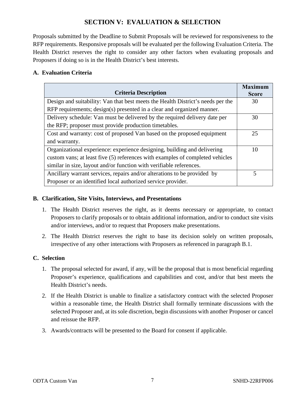## **SECTION V: EVALUATION & SELECTION**

<span id="page-8-0"></span>Proposals submitted by the Deadline to Submit Proposals will be reviewed for responsiveness to the RFP requirements. Responsive proposals will be evaluated per the following Evaluation Criteria. The Health District reserves the right to consider any other factors when evaluating proposals and Proposers if doing so is in the Health District's best interests.

## <span id="page-8-1"></span>**A. Evaluation Criteria**

| <b>Criteria Description</b>                                                     | <b>Maximum</b><br><b>Score</b> |
|---------------------------------------------------------------------------------|--------------------------------|
| Design and suitability: Van that best meets the Health District's needs per the | 30                             |
| RFP requirements; design(s) presented in a clear and organized manner.          |                                |
| Delivery schedule: Van must be delivered by the required delivery date per      | 30                             |
| the RFP; proposer must provide production timetables.                           |                                |
| Cost and warranty: cost of proposed Van based on the proposed equipment         | 25                             |
| and warranty.                                                                   |                                |
| Organizational experience: experience designing, building and delivering        | 10                             |
| custom vans; at least five (5) references with examples of completed vehicles   |                                |
| similar in size, layout and/or function with verifiable references.             |                                |
| Ancillary warrant services, repairs and/or alterations to be provided by        | 5                              |
| Proposer or an identified local authorized service provider.                    |                                |

## <span id="page-8-2"></span>**B. Clarification, Site Visits, Interviews, and Presentations**

- 1. The Health District reserves the right, as it deems necessary or appropriate, to contact Proposers to clarify proposals or to obtain additional information, and/or to conduct site visits and/or interviews, and/or to request that Proposers make presentations.
- 2. The Health District reserves the right to base its decision solely on written proposals, irrespective of any other interactions with Proposers as referenced in paragraph B.1.

## <span id="page-8-3"></span>**C. Selection**

- 1. The proposal selected for award, if any, will be the proposal that is most beneficial regarding Proposer's experience, qualifications and capabilities and cost, and/or that best meets the Health District's needs.
- 2. If the Health District is unable to finalize a satisfactory contract with the selected Proposer within a reasonable time, the Health District shall formally terminate discussions with the selected Proposer and, at its sole discretion, begin discussions with another Proposer or cancel and reissue the RFP.
- 3. Awards/contracts will be presented to the Board for consent if applicable.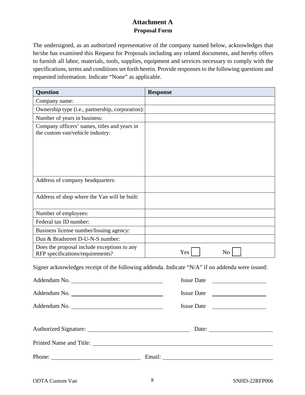## **Attachment A Proposal Form**

<span id="page-9-0"></span>The undersigned, as an authorized representative of the company named below, acknowledges that he/she has examined this Request for Proposals including any related documents, and hereby offers to furnish all labor, materials, tools, supplies, equipment and services necessary to comply with the specifications, terms and conditions set forth herein. Provide responses to the following questions and requested information. Indicate "None" as applicable.

| <b>Question</b>                                                                  | <b>Response</b> |
|----------------------------------------------------------------------------------|-----------------|
| Company name:                                                                    |                 |
| Ownership type (i.e., partnership, corporation):                                 |                 |
| Number of years in business:                                                     |                 |
| Company officers' names, titles and years in<br>the custom van/vehicle industry: |                 |
| Address of company headquarters:                                                 |                 |
| Address of shop where the Van will be built:                                     |                 |
| Number of employees:                                                             |                 |
| Federal tax ID number:                                                           |                 |
| Business license number/Issuing agency:                                          |                 |
| Dun & Bradstreet D-U-N-S number:                                                 |                 |
| Does the proposal include exceptions to any<br>RFP specifications/requirements?  | Yes<br>No       |

Signer acknowledges receipt of the following addenda. Indicate "N/A" if no addenda were issued:

|              | Issue Date            |
|--------------|-----------------------|
| Addendum No. | Issue Date            |
| Addendum No. | Issue Date            |
|              | Date: $\qquad \qquad$ |
|              |                       |
|              | Phone: Email: Email:  |